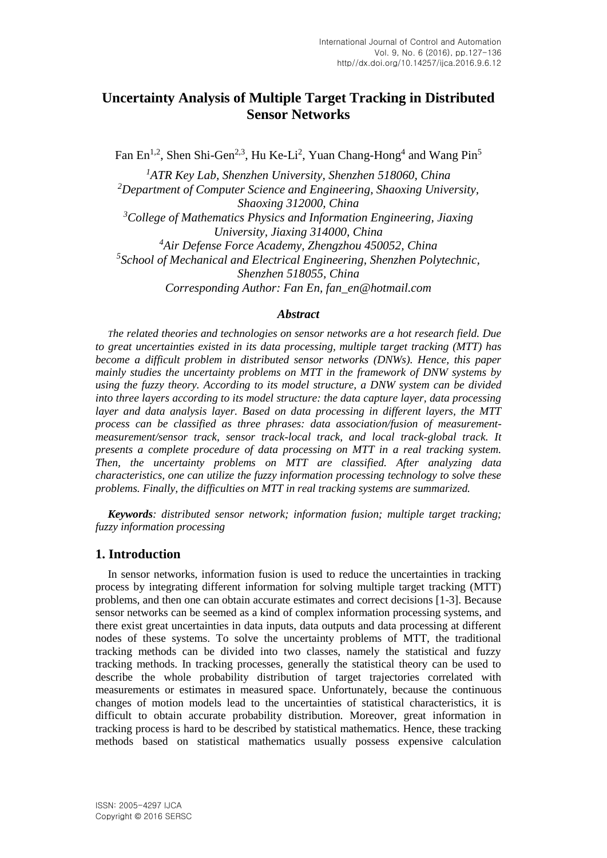# **Uncertainty Analysis of Multiple Target Tracking in Distributed Sensor Networks**

Fan En<sup>1,2</sup>, Shen Shi-Gen<sup>2,3</sup>, Hu Ke-Li<sup>2</sup>, Yuan Chang-Hong<sup>4</sup> and Wang Pin<sup>5</sup>

*<sup>1</sup>ATR Key Lab, Shenzhen University, Shenzhen 518060, China <sup>2</sup>Department of Computer Science and Engineering, Shaoxing University, Shaoxing 312000, China <sup>3</sup>College of Mathematics Physics and Information Engineering, Jiaxing University, Jiaxing 314000, China <sup>4</sup>Air Defense Force Academy, Zhengzhou 450052, China 5 School of Mechanical and Electrical Engineering, Shenzhen Polytechnic, Shenzhen 518055, China Corresponding Author: Fan En, fan\_en@hotmail.com*

# *Abstract*

*The related theories and technologies on sensor networks are a hot research field. Due to great uncertainties existed in its data processing, multiple target tracking (MTT) has become a difficult problem in distributed sensor networks (DNWs). Hence, this paper mainly studies the uncertainty problems on MTT in the framework of DNW systems by using the fuzzy theory. According to its model structure, a DNW system can be divided into three layers according to its model structure: the data capture layer, data processing layer and data analysis layer. Based on data processing in different layers, the MTT process can be classified as three phrases: data association/fusion of measurementmeasurement/sensor track, sensor track-local track, and local track-global track. It presents a complete procedure of data processing on MTT in a real tracking system. Then, the uncertainty problems on MTT are classified. After analyzing data characteristics, one can utilize the fuzzy information processing technology to solve these problems. Finally, the difficulties on MTT in real tracking systems are summarized.*

*Keywords: distributed sensor network; information fusion; multiple target tracking; fuzzy information processing*

# **1. Introduction**

In sensor networks, information fusion is used to reduce the uncertainties in tracking process by integrating different information for solving multiple target tracking (MTT) problems, and then one can obtain accurate estimates and correct decisions [1-3]. Because sensor networks can be seemed as a kind of complex information processing systems, and there exist great uncertainties in data inputs, data outputs and data processing at different nodes of these systems. To solve the uncertainty problems of MTT, the traditional tracking methods can be divided into two classes, namely the statistical and fuzzy tracking methods. In tracking processes, generally the statistical theory can be used to describe the whole probability distribution of target trajectories correlated with measurements or estimates in measured space. Unfortunately, because the continuous changes of motion models lead to the uncertainties of statistical characteristics, it is difficult to obtain accurate probability distribution. Moreover, great information in tracking process is hard to be described by statistical mathematics. Hence, these tracking methods based on statistical mathematics usually possess expensive calculation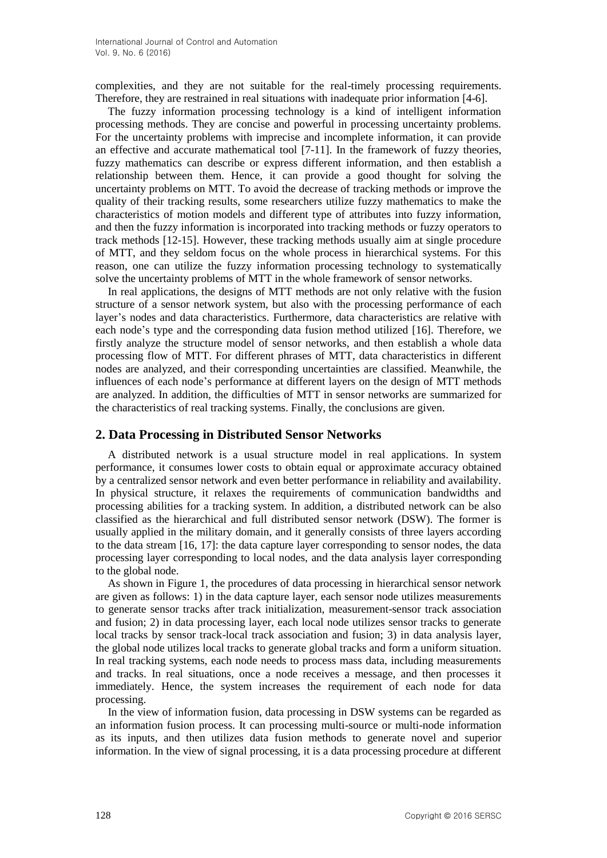complexities, and they are not suitable for the real-timely processing requirements. Therefore, they are restrained in real situations with inadequate prior information [4-6].

The fuzzy information processing technology is a kind of intelligent information processing methods. They are concise and powerful in processing uncertainty problems. For the uncertainty problems with imprecise and incomplete information, it can provide an effective and accurate mathematical tool [7-11]. In the framework of fuzzy theories, fuzzy mathematics can describe or express different information, and then establish a relationship between them. Hence, it can provide a good thought for solving the uncertainty problems on MTT. To avoid the decrease of tracking methods or improve the quality of their tracking results, some researchers utilize fuzzy mathematics to make the characteristics of motion models and different type of attributes into fuzzy information, and then the fuzzy information is incorporated into tracking methods or fuzzy operators to track methods [12-15]. However, these tracking methods usually aim at single procedure of MTT, and they seldom focus on the whole process in hierarchical systems. For this reason, one can utilize the fuzzy information processing technology to systematically solve the uncertainty problems of MTT in the whole framework of sensor networks.

In real applications, the designs of MTT methods are not only relative with the fusion structure of a sensor network system, but also with the processing performance of each layer's nodes and data characteristics. Furthermore, data characteristics are relative with each node's type and the corresponding data fusion method utilized [16]. Therefore, we firstly analyze the structure model of sensor networks, and then establish a whole data processing flow of MTT. For different phrases of MTT, data characteristics in different nodes are analyzed, and their corresponding uncertainties are classified. Meanwhile, the influences of each node's performance at different layers on the design of MTT methods are analyzed. In addition, the difficulties of MTT in sensor networks are summarized for the characteristics of real tracking systems. Finally, the conclusions are given.

# **2. Data Processing in Distributed Sensor Networks**

A distributed network is a usual structure model in real applications. In system performance, it consumes lower costs to obtain equal or approximate accuracy obtained by a centralized sensor network and even better performance in reliability and availability. In physical structure, it relaxes the requirements of communication bandwidths and processing abilities for a tracking system. In addition, a distributed network can be also classified as the hierarchical and full distributed sensor network (DSW). The former is usually applied in the military domain, and it generally consists of three layers according to the data stream [16, 17]: the data capture layer corresponding to sensor nodes, the data processing layer corresponding to local nodes, and the data analysis layer corresponding to the global node.

As shown in Figure 1, the procedures of data processing in hierarchical sensor network are given as follows: 1) in the data capture layer, each sensor node utilizes measurements to generate sensor tracks after track initialization, measurement-sensor track association and fusion; 2) in data processing layer, each local node utilizes sensor tracks to generate local tracks by sensor track-local track association and fusion; 3) in data analysis layer, the global node utilizes local tracks to generate global tracks and form a uniform situation. In real tracking systems, each node needs to process mass data, including measurements and tracks. In real situations, once a node receives a message, and then processes it immediately. Hence, the system increases the requirement of each node for data processing.

In the view of information fusion, data processing in DSW systems can be regarded as an information fusion process. It can processing multi-source or multi-node information as its inputs, and then utilizes data fusion methods to generate novel and superior information. In the view of signal processing, it is a data processing procedure at different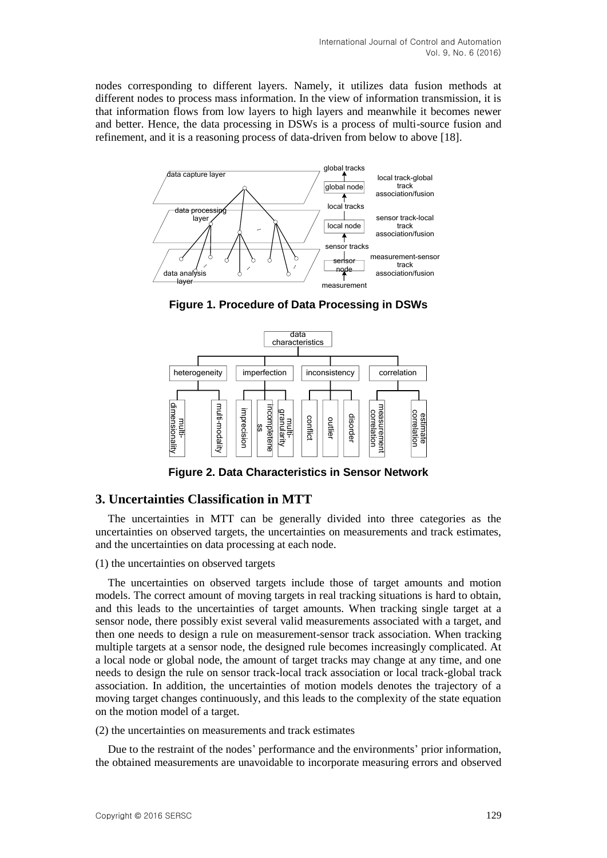nodes corresponding to different layers. Namely, it utilizes data fusion methods at different nodes to process mass information. In the view of information transmission, it is that information flows from low layers to high layers and meanwhile it becomes newer and better. Hence, the data processing in DSWs is a process of multi-source fusion and refinement, and it is a reasoning process of data-driven from below to above [18].



**Figure 1. Procedure of Data Processing in DSWs**



**Figure 2. Data Characteristics in Sensor Network**

# **3. Uncertainties Classification in MTT**

The uncertainties in MTT can be generally divided into three categories as the uncertainties on observed targets, the uncertainties on measurements and track estimates, and the uncertainties on data processing at each node.

### (1) the uncertainties on observed targets

The uncertainties on observed targets include those of target amounts and motion models. The correct amount of moving targets in real tracking situations is hard to obtain, and this leads to the uncertainties of target amounts. When tracking single target at a sensor node, there possibly exist several valid measurements associated with a target, and then one needs to design a rule on measurement-sensor track association. When tracking multiple targets at a sensor node, the designed rule becomes increasingly complicated. At a local node or global node, the amount of target tracks may change at any time, and one needs to design the rule on sensor track-local track association or local track-global track association. In addition, the uncertainties of motion models denotes the trajectory of a moving target changes continuously, and this leads to the complexity of the state equation on the motion model of a target.

(2) the uncertainties on measurements and track estimates

Due to the restraint of the nodes' performance and the environments' prior information, the obtained measurements are unavoidable to incorporate measuring errors and observed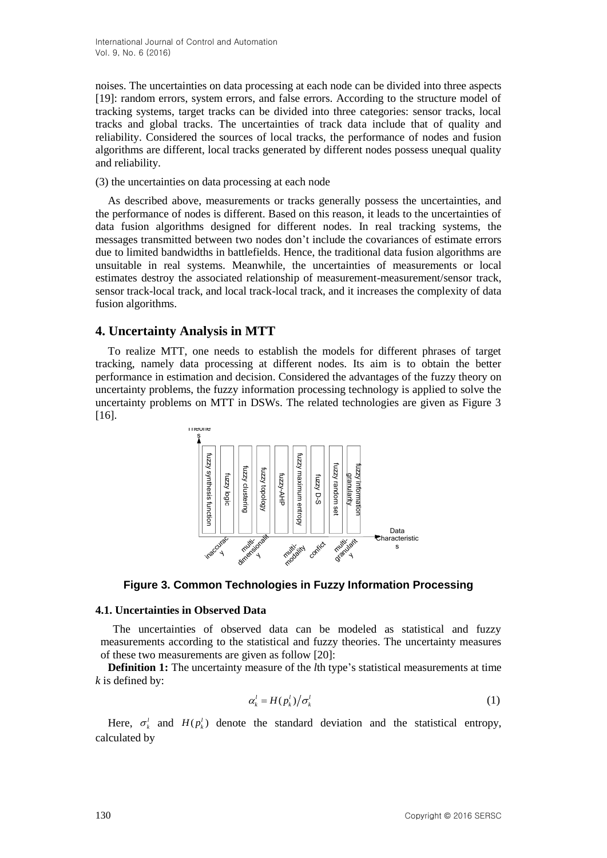noises. The uncertainties on data processing at each node can be divided into three aspects [19]: random errors, system errors, and false errors. According to the structure model of tracking systems, target tracks can be divided into three categories: sensor tracks, local tracks and global tracks. The uncertainties of track data include that of quality and reliability. Considered the sources of local tracks, the performance of nodes and fusion algorithms are different, local tracks generated by different nodes possess unequal quality and reliability.

(3) the uncertainties on data processing at each node

As described above, measurements or tracks generally possess the uncertainties, and the performance of nodes is different. Based on this reason, it leads to the uncertainties of data fusion algorithms designed for different nodes. In real tracking systems, the messages transmitted between two nodes don't include the covariances of estimate errors due to limited bandwidths in battlefields. Hence, the traditional data fusion algorithms are unsuitable in real systems. Meanwhile, the uncertainties of measurements or local estimates destroy the associated relationship of measurement-measurement/sensor track, sensor track-local track, and local track-local track, and it increases the complexity of data fusion algorithms.

# **4. Uncertainty Analysis in MTT**

To realize MTT, one needs to establish the models for different phrases of target tracking, namely data processing at different nodes. Its aim is to obtain the better performance in estimation and decision. Considered the advantages of the fuzzy theory on uncertainty problems, the fuzzy information processing technology is applied to solve the uncertainty problems on MTT in DSWs. The related technologies are given as Figure 3 [16].



**Figure 3. Common Technologies in Fuzzy Information Processing**

# **4.1. Uncertainties in Observed Data**

The uncertainties of observed data can be modeled as statistical and fuzzy measurements according to the statistical and fuzzy theories. The uncertainty measures of these two measurements are given as follow [20]:

**Definition 1:** The uncertainty measure of the *l*th type's statistical measurements at time *k* is defined by:

$$
\alpha_k^l = H(p_k^l) / \sigma_k^l \tag{1}
$$

Here,  $\sigma_k^l$  and  $H(p_k^l)$  denote the standard deviation and the statistical entropy, calculated by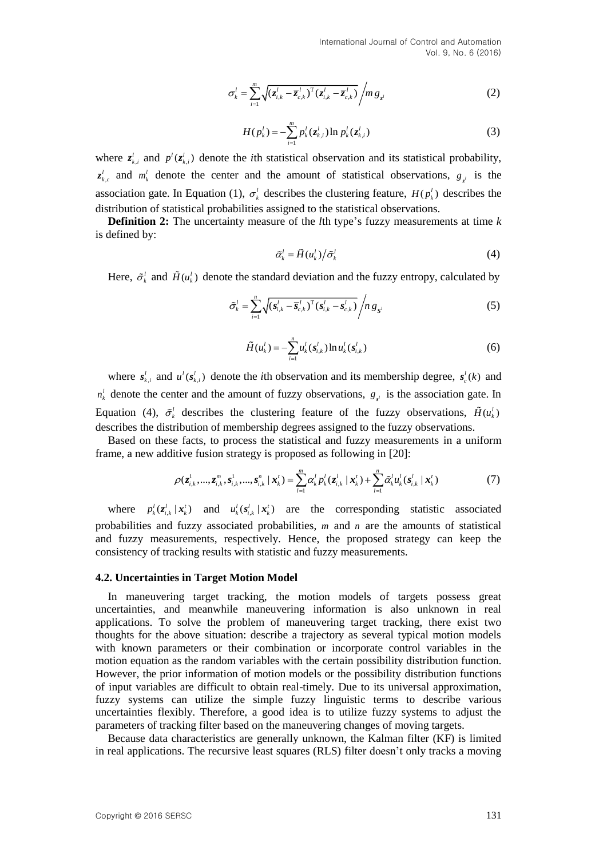$$
\sigma_{k}^{l} = \sum_{i=1}^{m} \sqrt{(z_{i,k}^{l} - \overline{z}_{c,k}^{l})^{T} (z_{i,k}^{l} - \overline{z}_{c,k}^{l})}/m g_{z^{l}}
$$
(2)

$$
H(p_k^l) = -\sum_{i=1}^m p_k^l(z_{k,i}^l) \ln p_k^l(z_{k,i}^l)
$$
 (3)

where  $z_{k,i}^i$  and  $p^i(z_{k,i}^i)$  denote the *i*th statistical observation and its statistical probability,  $z_{k,c}^{l}$  and  $m_k^{l}$  denote the center and the amount of statistical observations,  $g_{z^{l}}$  is the association gate. In Equation (1),  $\sigma_k^l$  describes the clustering feature,  $H(p_k^l)$  describes the distribution of statistical probabilities assigned to the statistical observations.

**Definition 2:** The uncertainty measure of the *l*th type's fuzzy measurements at time *k* is defined by:

$$
\tilde{\alpha}_k^l = \tilde{H}(u_k^l) / \tilde{\sigma}_k^l \tag{4}
$$

Here,  $\tilde{\sigma}_k^l$  and  $\tilde{H}(u_k^l)$  denote the standard deviation and the fuzzy entropy, calculated by

$$
\tilde{\sigma}_k^l = \sum_{i=1}^n \sqrt{(\boldsymbol{s}_{i,k}^l - \overline{\boldsymbol{s}}_{c,k}^l)^T (\boldsymbol{s}_{i,k}^l - \boldsymbol{s}_{c,k}^l)} / n \, g_{S^l}
$$
\n<sup>(5)</sup>

$$
\tilde{H}(u_k^l) = -\sum_{i=1}^n u_k^l(s_{i,k}^l) \ln u_k^l(s_{i,k}^l)
$$
\n(6)

where  $s_{k,i}^l$  and  $u^l(s_{k,i}^l)$  denote the *i*th observation and its membership degree,  $s_c^l(k)$  and  $n_k^l$  denote the center and the amount of fuzzy observations,  $g_{s'}$  is the association gate. In Equation (4),  $\tilde{\sigma}_k^l$  describes the clustering feature of the fuzzy observations,  $\tilde{H}(u_k^l)$ describes the distribution of membership degrees assigned to the fuzzy observations.

Based on these facts, to process the statistical and fuzzy measurements in a uniform frame, a new additive fusion strategy is proposed as following in [20]:

$$
\rho(z_{i,k}^1,...,z_{i,k}^m,s_{i,k}^1,...,s_{i,k}^n \mid \mathbf{x}_k^t) = \sum_{l=1}^m \alpha_k^l p_k^l (z_{i,k}^l \mid \mathbf{x}_k^t) + \sum_{l=1}^n \tilde{\alpha}_k^l u_k^l (s_{i,k}^l \mid \mathbf{x}_k^t)
$$
(7)

where  $p_k^l(z_{i,k}^l | x_k^l)$  and  $u_k^l(s_{i,k}^l | x_k^l)$  are the corresponding statistic associated probabilities and fuzzy associated probabilities, m and n are the amounts of statistical and fuzzy measurements, respectively. Hence, the proposed strategy can keep the consistency of tracking results with statistic and fuzzy measurements.

#### **4.2. Uncertainties in Target Motion Model**

 $\alpha'_i = \sum_{i=1}^n \beta_i (z'_{i-1} - z'_{i+1})^T(z'_{i-1} - z'_{i})^T/nz_i$  (2)<br>
Where  $z'_{i-1}$  and  $\rho'(z'_i)$ , denote the absolute of the american state and the statistical probability<br>  $z'_{i+1}$  and  $\rho'(z'_i)$ , denote the absolution of stat In maneuvering target tracking, the motion models of targets possess great uncertainties, and meanwhile maneuvering information is also unknown in real applications. To solve the problem of maneuvering target tracking, there exist two thoughts for the above situation: describe a trajectory as several typical motion models with known parameters or their combination or incorporate control variables in the motion equation as the random variables with the certain possibility distribution function. However, the prior information of motion models or the possibility distribution functions of input variables are difficult to obtain real-timely. Due to its universal approximation, fuzzy systems can utilize the simple fuzzy linguistic terms to describe various uncertainties flexibly. Therefore, a good idea is to utilize fuzzy systems to adjust the parameters of tracking filter based on the maneuvering changes of moving targets.

Because data characteristics are generally unknown, the Kalman filter (KF) is limited in real applications. The recursive least squares (RLS) filter doesn't only tracks a moving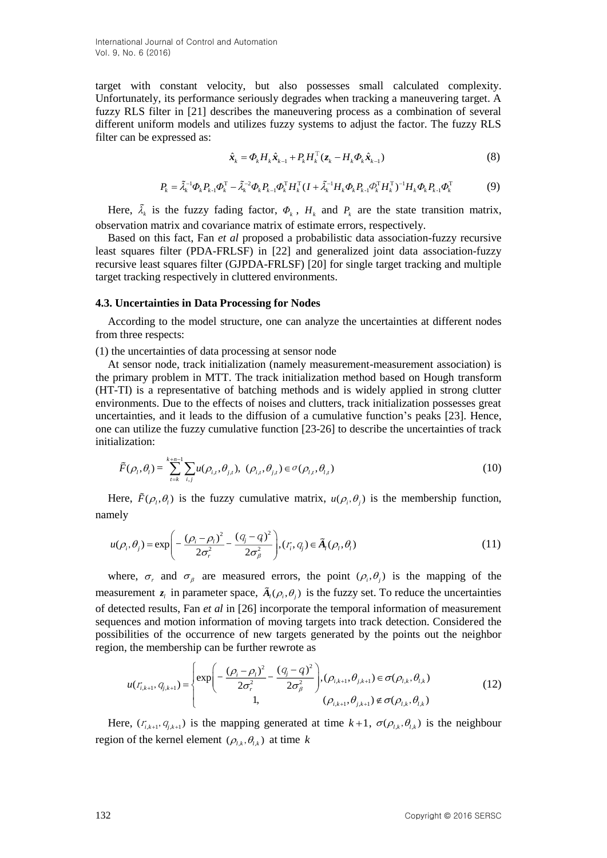International Journal of Control and Automation Vol. 9, No. 6 (2016)

target with constant velocity, but also possesses small calculated complexity. Unfortunately, its performance seriously degrades when tracking a maneuvering target. A fuzzy RLS filter in [21] describes the maneuvering process as a combination of several different uniform models and utilizes fuzzy systems to adjust the factor. The fuzzy RLS filter can be expressed as:

$$
\hat{\boldsymbol{x}}_k = \boldsymbol{\varPhi}_k \boldsymbol{H}_k \hat{\boldsymbol{x}}_{k-1} + \boldsymbol{P}_k \boldsymbol{H}_k^{\mathrm{T}} (\boldsymbol{z}_k - \boldsymbol{H}_k \boldsymbol{\varPhi}_k \hat{\boldsymbol{x}}_{k-1})
$$
\n(8)

$$
P_{k} = \tilde{\lambda}_{k}^{-1} \Phi_{k} P_{k-1} \Phi_{k}^{T} - \tilde{\lambda}_{k}^{-2} \Phi_{k} P_{k-1} \Phi_{k}^{T} H_{k}^{T} (I + \tilde{\lambda}_{k}^{-1} H_{k} \Phi_{k} P_{k-1} \Phi_{k}^{T} H_{k}^{T})^{-1} H_{k} \Phi_{k} P_{k-1} \Phi_{k}^{T}
$$
(9)

Here,  $\tilde{\lambda}_k$  is the fuzzy fading factor,  $\Phi_k$ ,  $H_k$  and  $P_k$  are the state transition matrix, observation matrix and covariance matrix of estimate errors, respectively.

Based on this fact, Fan *et al* proposed a probabilistic data association-fuzzy recursive least squares filter (PDA-FRLSF) in [22] and generalized joint data association-fuzzy recursive least squares filter (GJPDA-FRLSF) [20] for single target tracking and multiple target tracking respectively in cluttered environments.

#### **4.3. Uncertainties in Data Processing for Nodes**

According to the model structure, one can analyze the uncertainties at different nodes from three respects:

(1) the uncertainties of data processing at sensor node

At sensor node, track initialization (namely measurement-measurement association) is the primary problem in MTT. The track initialization method based on Hough transform (HT-TI) is a representative of batching methods and is widely applied in strong clutter environments. Due to the effects of noises and clutters, track initialization possesses great uncertainties, and it leads to the diffusion of a cumulative function's peaks [23]. Hence, one can utilize the fuzzy cumulative function [23-26] to describe the uncertainties of track initialization:

$$
\tilde{F}(\rho_{l}, \theta_{l}) = \sum_{i=k}^{k+n-1} \sum_{i,j} u(\rho_{i,t}, \theta_{j,t}), \ (\rho_{i,t}, \theta_{j,t}) \in \sigma(\rho_{l,t}, \theta_{l,t})
$$
\n(10)

Here,  $\tilde{F}(\rho_i, \theta_i)$  is the fuzzy cumulative matrix,  $u(\rho_i, \theta_j)$  is the membership function, namely

mely  
\n
$$
u(\rho_i, \theta_j) = \exp\left(-\frac{(\rho_i - \rho_l)^2}{2\sigma_i^2} - \frac{(q_j - q)^2}{2\sigma_\beta^2}\right), (r_i, q_j) \in \tilde{A}_i(\rho_i, \theta_i)
$$
\n(11)

where,  $\sigma_r$  and  $\sigma_\beta$  are measured errors, the point  $(\rho_i, \theta_j)$  is the mapping of the measurement  $z_i$  in parameter space,  $\tilde{A}_i(\rho_i, \theta_j)$  is the fuzzy set. To reduce the uncertainties of detected results, Fan *et al* in [26] incorporate the temporal information of measurement sequences and motion information of moving targets into track detection. Considered the possibilities of the occurrence of new targets generated by the points out the neighbor region, the membership can be further rewrote as

$$
u(r_{i,k+1}, q_{j,k+1}) = \begin{cases} \exp\left(-\frac{(\rho_i - \rho_l)^2}{2\sigma_i^2} - \frac{(q_j - q)^2}{2\sigma_\beta^2}\right), (\rho_{i,k+1}, \theta_{j,k+1}) \in \sigma(\rho_{l,k}, \theta_{l,k})\\ 1, \qquad (\rho_{i,k+1}, \theta_{j,k+1}) \notin \sigma(\rho_{l,k}, \theta_{l,k}) \end{cases}
$$
(12)

Here,  $(r_{i,k+1}, q_{j,k+1})$  is the mapping generated at time  $k+1$ ,  $\sigma(\rho_{i,k}, \theta_{i,k})$  is the neighbour region of the kernel element  $(\rho_{l,k}, \theta_{l,k})$  at time k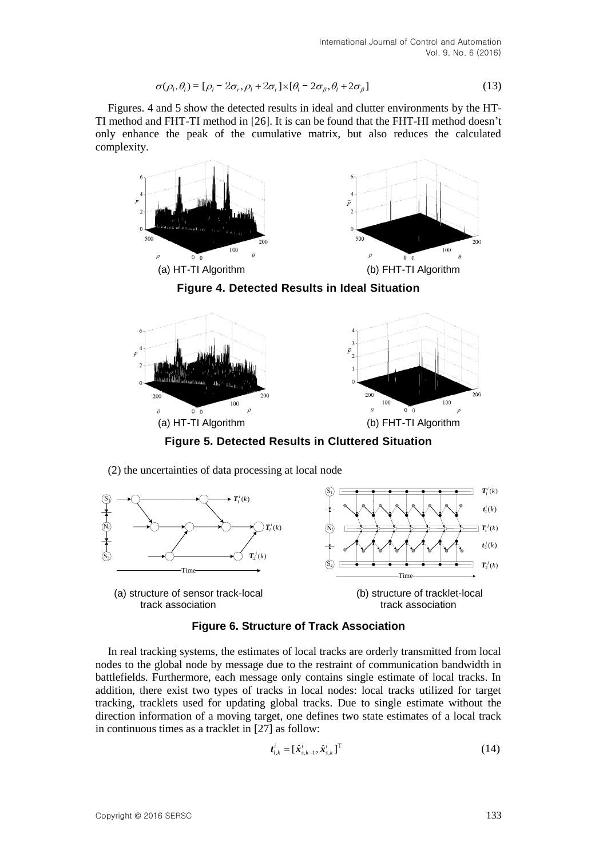$$
\sigma(\rho_i, \theta_i) = [\rho_i - 2\sigma_i, \rho_i + 2\sigma_i] \times [\theta_i - 2\sigma_i, \theta_i + 2\sigma_i]
$$
\n(13)

Figures. 4 and 5 show the detected results in ideal and clutter environments by the HT-TI method and FHT-TI method in [26]. It is can be found that the FHT-HI method doesn't only enhance the peak of the cumulative matrix, but also reduces the calculated complexity.





**Figure 5. Detected Results in Cluttered Situation**

(2) the uncertainties of data processing at local node



**Figure 6. Structure of Track Association**

In real tracking systems, the estimates of local tracks are orderly transmitted from local nodes to the global node by message due to the restraint of communication bandwidth in battlefields. Furthermore, each message only contains single estimate of local tracks. In addition, there exist two types of tracks in local nodes: local tracks utilized for target tracking, tracklets used for updating global tracks. Due to single estimate without the direction information of a moving target, one defines two state estimates of a local track in continuous times as a tracklet in [27] as follow:

$$
\boldsymbol{t}_{l,k}^i = [\hat{\boldsymbol{x}}_{s,k-1}^i, \hat{\boldsymbol{x}}_{s,k}^i]^{\mathrm{T}}
$$
\n(14)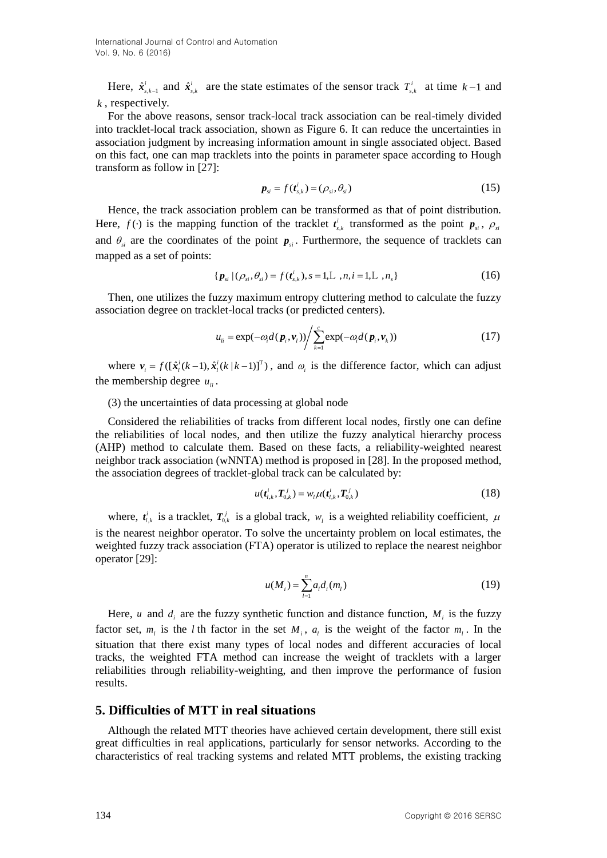Here,  $\hat{x}_{s,k-1}^i$  and  $\hat{x}_{s,k}^i$  $\hat{\mathbf{x}}_{s,k}^{i}$  are the state estimates of the sensor track  $T_{s,k}^{i}$  at time  $k-1$  and *k* , respectively.

For the above reasons, sensor track-local track association can be real-timely divided into tracklet-local track association, shown as Figure 6. It can reduce the uncertainties in association judgment by increasing information amount in single associated object. Based on this fact, one can map tracklets into the points in parameter space according to Hough transform as follow in [27]:

$$
\boldsymbol{p}_{si} = f(\boldsymbol{t}_{s,k}^i) = (\rho_{si}, \theta_{si})
$$
\n(15)

Hence, the track association problem can be transformed as that of point distribution. Here,  $f(\cdot)$  is the mapping function of the tracklet  $t_{s,k}^i$  transformed as the point  $p_{si}$ ,  $\rho_{si}$ and  $\theta_{si}$  are the coordinates of the point  $p_{si}$ . Furthermore, the sequence of tracklets can mapped as a set of points:

$$
\{p_{si}/(\rho_{si}, \theta_{si}) = f(t_{s,k}^{i}), s = 1, L, n, i = 1, L, n_{s}\}
$$
\n(16)

Then, one utilizes the fuzzy maximum entropy cluttering method to calculate the fuzzy association degree on tracklet-local tracks (or predicted centers).

$$
u_{li} = \exp(-\omega_i d(\boldsymbol{p}_i, \boldsymbol{v}_l)) \Big/ \sum_{k=1}^{c} \exp(-\omega_i d(\boldsymbol{p}_i, \boldsymbol{v}_k)) \tag{17}
$$

where  $v_i = f([\hat{x}_i^i(k-1), \hat{x}_i^i(k|k-1)]^T)$ , and  $\omega_i$  is the difference factor, which can adjust the membership degree  $u_{ii}$ .

(3) the uncertainties of data processing at global node

Considered the reliabilities of tracks from different local nodes, firstly one can define the reliabilities of local nodes, and then utilize the fuzzy analytical hierarchy process (AHP) method to calculate them. Based on these facts, a reliability-weighted nearest neighbor track association (wNNTA) method is proposed in [28]. In the proposed method, the association degrees of tracklet-global track can be calculated by:

$$
u(t_{l,k}^i, T_{0,k}^j) = w_l \mu(t_{l,k}^i, T_{0,k}^j)
$$
\n(18)

where,  $t_{l,k}^i$  is a tracklet,  $T_{0,k}^j$  is a global track,  $w_l$  is a weighted reliability coefficient,  $\mu$ is the nearest neighbor operator. To solve the uncertainty problem on local estimates, the weighted fuzzy track association (FTA) operator is utilized to replace the nearest neighbor operator [29]:

$$
u(M_i) = \sum_{l=1}^{n} a_l d_i(m_l)
$$
 (19)

Here, *u* and  $d_i$  are the fuzzy synthetic function and distance function,  $M_i$  is the fuzzy factor set,  $m_i$  is the *l* th factor in the set  $M_i$ ,  $a_i$  is the weight of the factor  $m_i$ . In the situation that there exist many types of local nodes and different accuracies of local tracks, the weighted FTA method can increase the weight of tracklets with a larger reliabilities through reliability-weighting, and then improve the performance of fusion results.

# **5. Difficulties of MTT in real situations**

Although the related MTT theories have achieved certain development, there still exist great difficulties in real applications, particularly for sensor networks. According to the characteristics of real tracking systems and related MTT problems, the existing tracking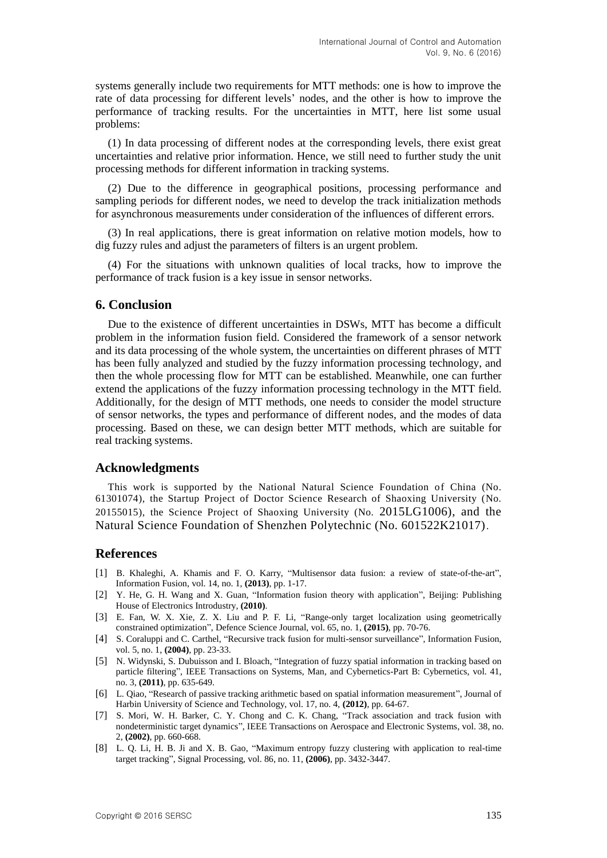systems generally include two requirements for MTT methods: one is how to improve the rate of data processing for different levels' nodes, and the other is how to improve the performance of tracking results. For the uncertainties in MTT, here list some usual problems:

(1) In data processing of different nodes at the corresponding levels, there exist great uncertainties and relative prior information. Hence, we still need to further study the unit processing methods for different information in tracking systems.

(2) Due to the difference in geographical positions, processing performance and sampling periods for different nodes, we need to develop the track initialization methods for asynchronous measurements under consideration of the influences of different errors.

(3) In real applications, there is great information on relative motion models, how to dig fuzzy rules and adjust the parameters of filters is an urgent problem.

(4) For the situations with unknown qualities of local tracks, how to improve the performance of track fusion is a key issue in sensor networks.

### **6. Conclusion**

Due to the existence of different uncertainties in DSWs, MTT has become a difficult problem in the information fusion field. Considered the framework of a sensor network and its data processing of the whole system, the uncertainties on different phrases of MTT has been fully analyzed and studied by the fuzzy information processing technology, and then the whole processing flow for MTT can be established. Meanwhile, one can further extend the applications of the fuzzy information processing technology in the MTT field. Additionally, for the design of MTT methods, one needs to consider the model structure of sensor networks, the types and performance of different nodes, and the modes of data processing. Based on these, we can design better MTT methods, which are suitable for real tracking systems.

# **Acknowledgments**

This work is supported by the National Natural Science Foundation of China (No. 61301074), the Startup Project of Doctor Science Research of Shaoxing University (No. 20155015), the Science Project of Shaoxing University (No. 2015LG1006), and the Natural Science Foundation of Shenzhen Polytechnic (No. 601522K21017).

# **References**

- [1] B. Khaleghi, A. Khamis and F. O. Karry, "Multisensor data fusion: a review of state-of-the-art", Information Fusion, vol. 14, no. 1, **(2013)**, pp. 1-17.
- [2] Y. He, G. H. Wang and X. Guan, "Information fusion theory with application", Beijing: Publishing House of Electronics Introdustry, **(2010)**.
- [3] E. Fan, W. X. Xie, Z. X. Liu and P. F. Li, "Range-only target localization using geometrically constrained optimization", Defence Science Journal, vol. 65, no. 1, **(2015)**, pp. 70-76.
- [4] S. Coraluppi and C. Carthel, "Recursive track fusion for multi-sensor surveillance", Information Fusion, vol. 5, no. 1, **(2004)**, pp. 23-33.
- [5] N. Widynski, S. Dubuisson and I. Bloach, "Integration of fuzzy spatial information in tracking based on particle filtering", IEEE Transactions on Systems, Man, and Cybernetics-Part B: Cybernetics, vol. 41, no. 3, **(2011)**, pp. 635-649.
- [6] L. Qiao, "Research of passive tracking arithmetic based on spatial information measurement", Journal of Harbin University of Science and Technology, vol. 17, no. 4, **(2012)**, pp. 64-67.
- [7] S. Mori, W. H. Barker, C. Y. Chong and C. K. Chang, "Track association and track fusion with nondeterministic target dynamics", IEEE Transactions on Aerospace and Electronic Systems, vol. 38, no. 2, **(2002)**, pp. 660-668.
- [8] L. Q. Li, H. B. Ji and X. B. Gao, "Maximum entropy fuzzy clustering with application to real-time target tracking", Signal Processing, vol. 86, no. 11, **(2006)**, pp. 3432-3447.